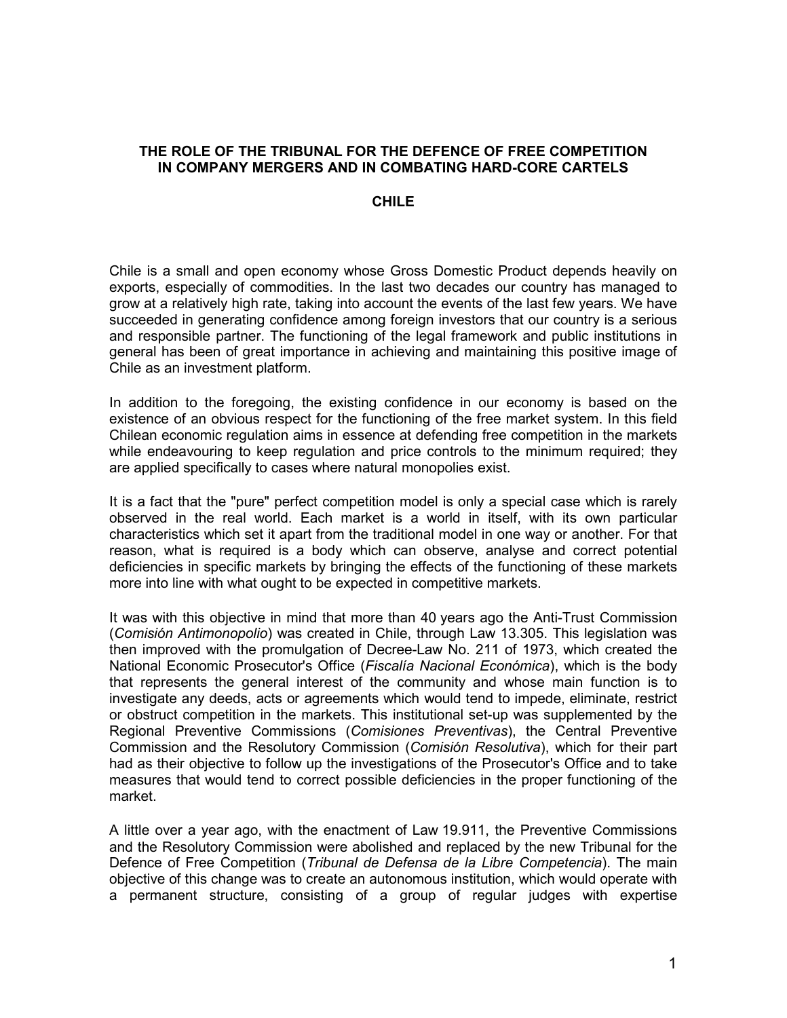## **THE ROLE OF THE TRIBUNAL FOR THE DEFENCE OF FREE COMPETITION IN COMPANY MERGERS AND IN COMBATING HARD-CORE CARTELS**

## **CHILE**

Chile is a small and open economy whose Gross Domestic Product depends heavily on exports, especially of commodities. In the last two decades our country has managed to grow at a relatively high rate, taking into account the events of the last few years. We have succeeded in generating confidence among foreign investors that our country is a serious and responsible partner. The functioning of the legal framework and public institutions in general has been of great importance in achieving and maintaining this positive image of Chile as an investment platform.

In addition to the foregoing, the existing confidence in our economy is based on the existence of an obvious respect for the functioning of the free market system. In this field Chilean economic regulation aims in essence at defending free competition in the markets while endeavouring to keep regulation and price controls to the minimum required: they are applied specifically to cases where natural monopolies exist.

It is a fact that the "pure" perfect competition model is only a special case which is rarely observed in the real world. Each market is a world in itself, with its own particular characteristics which set it apart from the traditional model in one way or another. For that reason, what is required is a body which can observe, analyse and correct potential deficiencies in specific markets by bringing the effects of the functioning of these markets more into line with what ought to be expected in competitive markets.

It was with this objective in mind that more than 40 years ago the Anti-Trust Commission (*Comisión Antimonopolio*) was created in Chile, through Law 13.305. This legislation was then improved with the promulgation of Decree-Law No. 211 of 1973, which created the National Economic Prosecutor's Office (*Fiscalía Nacional Económica*), which is the body that represents the general interest of the community and whose main function is to investigate any deeds, acts or agreements which would tend to impede, eliminate, restrict or obstruct competition in the markets. This institutional set-up was supplemented by the Regional Preventive Commissions (*Comisiones Preventivas*), the Central Preventive Commission and the Resolutory Commission (*Comisión Resolutiva*), which for their part had as their objective to follow up the investigations of the Prosecutor's Office and to take measures that would tend to correct possible deficiencies in the proper functioning of the market.

A little over a year ago, with the enactment of Law 19.911, the Preventive Commissions and the Resolutory Commission were abolished and replaced by the new Tribunal for the Defence of Free Competition (*Tribunal de Defensa de la Libre Competencia*). The main objective of this change was to create an autonomous institution, which would operate with a permanent structure, consisting of a group of regular judges with expertise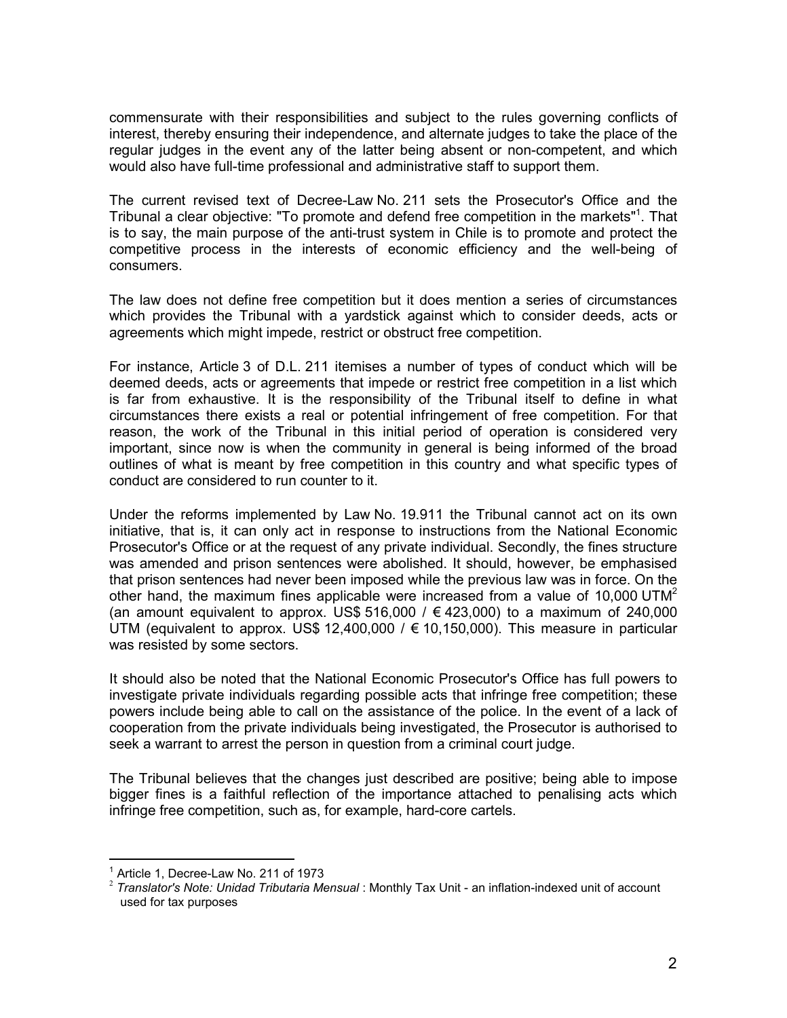commensurate with their responsibilities and subject to the rules governing conflicts of interest, thereby ensuring their independence, and alternate judges to take the place of the regular judges in the event any of the latter being absent or non-competent, and which would also have full-time professional and administrative staff to support them.

The current revised text of Decree-Law No. 211 sets the Prosecutor's Office and the Tribunal a clear objective: "To promote and defend free competition in the markets"<sup>1</sup>. That is to say, the main purpose of the anti-trust system in Chile is to promote and protect the competitive process in the interests of economic efficiency and the well-being of consumers.

The law does not define free competition but it does mention a series of circumstances which provides the Tribunal with a yardstick against which to consider deeds, acts or agreements which might impede, restrict or obstruct free competition.

For instance, Article 3 of D.L. 211 itemises a number of types of conduct which will be deemed deeds, acts or agreements that impede or restrict free competition in a list which is far from exhaustive. It is the responsibility of the Tribunal itself to define in what circumstances there exists a real or potential infringement of free competition. For that reason, the work of the Tribunal in this initial period of operation is considered very important, since now is when the community in general is being informed of the broad outlines of what is meant by free competition in this country and what specific types of conduct are considered to run counter to it.

Under the reforms implemented by Law No. 19.911 the Tribunal cannot act on its own initiative, that is, it can only act in response to instructions from the National Economic Prosecutor's Office or at the request of any private individual. Secondly, the fines structure was amended and prison sentences were abolished. It should, however, be emphasised that prison sentences had never been imposed while the previous law was in force. On the other hand, the maximum fines applicable were increased from a value of 10,000 UTM<sup>2</sup> (an amount equivalent to approx. US\$ 516,000 /  $\in$  423,000) to a maximum of 240,000 UTM (equivalent to approx. US\$ 12,400,000 /  $\epsilon$  10,150,000). This measure in particular was resisted by some sectors.

It should also be noted that the National Economic Prosecutor's Office has full powers to investigate private individuals regarding possible acts that infringe free competition; these powers include being able to call on the assistance of the police. In the event of a lack of cooperation from the private individuals being investigated, the Prosecutor is authorised to seek a warrant to arrest the person in question from a criminal court judge.

The Tribunal believes that the changes just described are positive; being able to impose bigger fines is a faithful reflection of the importance attached to penalising acts which infringe free competition, such as, for example, hard-core cartels.

1

<sup>1</sup> Article 1, Decree-Law No. 211 of 1973

<sup>&</sup>lt;sup>2</sup> Translator's Note: Unidad Tributaria Mensual : Monthly Tax Unit - an inflation-indexed unit of account used for tax purposes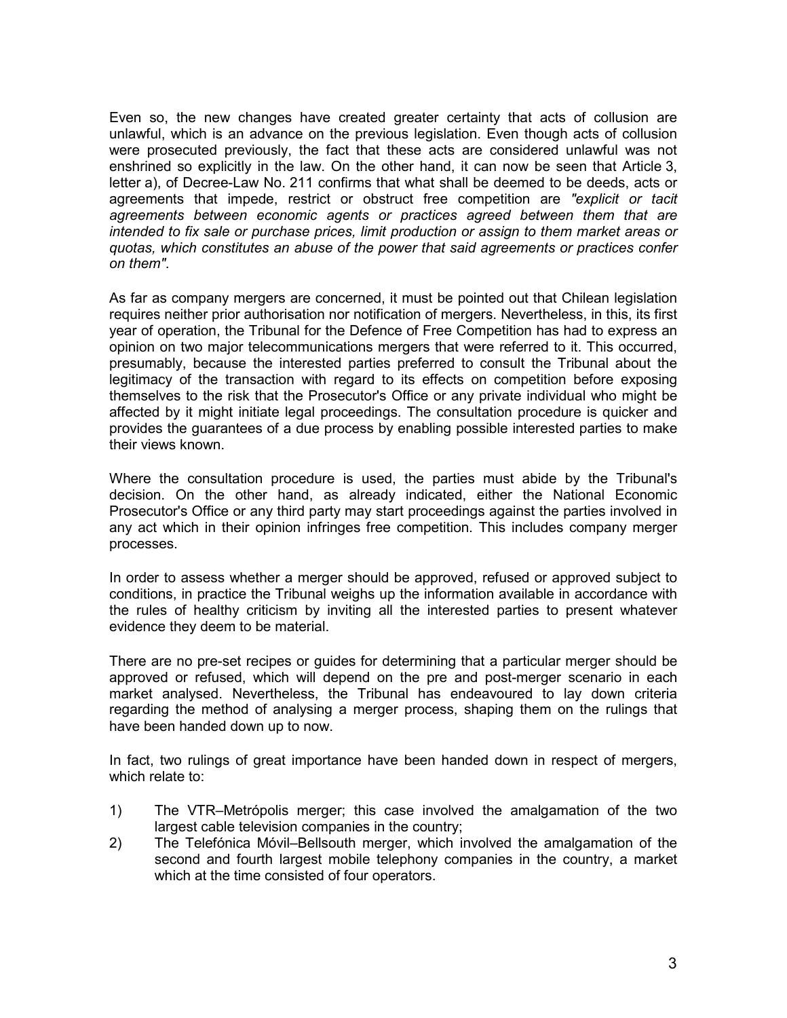Even so, the new changes have created greater certainty that acts of collusion are unlawful, which is an advance on the previous legislation. Even though acts of collusion were prosecuted previously, the fact that these acts are considered unlawful was not enshrined so explicitly in the law. On the other hand, it can now be seen that Article 3, letter a), of Decree-Law No. 211 confirms that what shall be deemed to be deeds, acts or agreements that impede, restrict or obstruct free competition are *"explicit or tacit agreements between economic agents or practices agreed between them that are intended to fix sale or purchase prices, limit production or assign to them market areas or quotas, which constitutes an abuse of the power that said agreements or practices confer on them"*.

As far as company mergers are concerned, it must be pointed out that Chilean legislation requires neither prior authorisation nor notification of mergers. Nevertheless, in this, its first year of operation, the Tribunal for the Defence of Free Competition has had to express an opinion on two major telecommunications mergers that were referred to it. This occurred, presumably, because the interested parties preferred to consult the Tribunal about the legitimacy of the transaction with regard to its effects on competition before exposing themselves to the risk that the Prosecutor's Office or any private individual who might be affected by it might initiate legal proceedings. The consultation procedure is quicker and provides the guarantees of a due process by enabling possible interested parties to make their views known.

Where the consultation procedure is used, the parties must abide by the Tribunal's decision. On the other hand, as already indicated, either the National Economic Prosecutor's Office or any third party may start proceedings against the parties involved in any act which in their opinion infringes free competition. This includes company merger processes.

In order to assess whether a merger should be approved, refused or approved subject to conditions, in practice the Tribunal weighs up the information available in accordance with the rules of healthy criticism by inviting all the interested parties to present whatever evidence they deem to be material.

There are no pre-set recipes or guides for determining that a particular merger should be approved or refused, which will depend on the pre and post-merger scenario in each market analysed. Nevertheless, the Tribunal has endeavoured to lay down criteria regarding the method of analysing a merger process, shaping them on the rulings that have been handed down up to now.

In fact, two rulings of great importance have been handed down in respect of mergers, which relate to:

- 1) The VTR–Metrópolis merger; this case involved the amalgamation of the two largest cable television companies in the country;
- 2) The Telefónica Móvil–Bellsouth merger, which involved the amalgamation of the second and fourth largest mobile telephony companies in the country, a market which at the time consisted of four operators.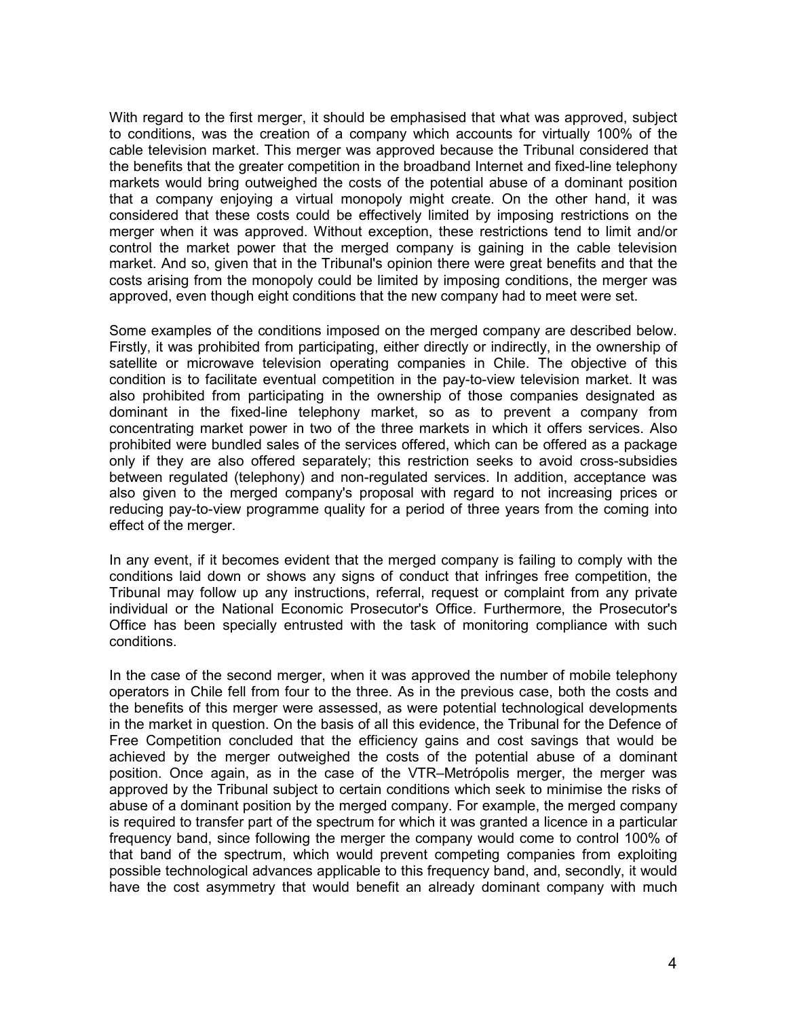With regard to the first merger, it should be emphasised that what was approved, subject to conditions, was the creation of a company which accounts for virtually 100% of the cable television market. This merger was approved because the Tribunal considered that the benefits that the greater competition in the broadband Internet and fixed-line telephony markets would bring outweighed the costs of the potential abuse of a dominant position that a company enjoying a virtual monopoly might create. On the other hand, it was considered that these costs could be effectively limited by imposing restrictions on the merger when it was approved. Without exception, these restrictions tend to limit and/or control the market power that the merged company is gaining in the cable television market. And so, given that in the Tribunal's opinion there were great benefits and that the costs arising from the monopoly could be limited by imposing conditions, the merger was approved, even though eight conditions that the new company had to meet were set.

Some examples of the conditions imposed on the merged company are described below. Firstly, it was prohibited from participating, either directly or indirectly, in the ownership of satellite or microwave television operating companies in Chile. The objective of this condition is to facilitate eventual competition in the pay-to-view television market. It was also prohibited from participating in the ownership of those companies designated as dominant in the fixed-line telephony market, so as to prevent a company from concentrating market power in two of the three markets in which it offers services. Also prohibited were bundled sales of the services offered, which can be offered as a package only if they are also offered separately; this restriction seeks to avoid cross-subsidies between regulated (telephony) and non-regulated services. In addition, acceptance was also given to the merged company's proposal with regard to not increasing prices or reducing pay-to-view programme quality for a period of three years from the coming into effect of the merger.

In any event, if it becomes evident that the merged company is failing to comply with the conditions laid down or shows any signs of conduct that infringes free competition, the Tribunal may follow up any instructions, referral, request or complaint from any private individual or the National Economic Prosecutor's Office. Furthermore, the Prosecutor's Office has been specially entrusted with the task of monitoring compliance with such conditions.

In the case of the second merger, when it was approved the number of mobile telephony operators in Chile fell from four to the three. As in the previous case, both the costs and the benefits of this merger were assessed, as were potential technological developments in the market in question. On the basis of all this evidence, the Tribunal for the Defence of Free Competition concluded that the efficiency gains and cost savings that would be achieved by the merger outweighed the costs of the potential abuse of a dominant position. Once again, as in the case of the VTR–Metrópolis merger, the merger was approved by the Tribunal subject to certain conditions which seek to minimise the risks of abuse of a dominant position by the merged company. For example, the merged company is required to transfer part of the spectrum for which it was granted a licence in a particular frequency band, since following the merger the company would come to control 100% of that band of the spectrum, which would prevent competing companies from exploiting possible technological advances applicable to this frequency band, and, secondly, it would have the cost asymmetry that would benefit an already dominant company with much